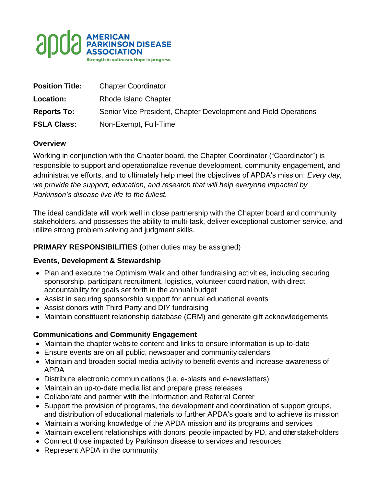

| <b>Position Title:</b> | <b>Chapter Coordinator</b>                                      |
|------------------------|-----------------------------------------------------------------|
| Location:              | <b>Rhode Island Chapter</b>                                     |
| <b>Reports To:</b>     | Senior Vice President, Chapter Development and Field Operations |
| <b>FSLA Class:</b>     | Non-Exempt, Full-Time                                           |

## **Overview**

Working in conjunction with the Chapter board, the Chapter Coordinator ("Coordinator") is responsible to support and operationalize revenue development, community engagement, and administrative efforts, and to ultimately help meet the objectives of APDA's mission: *Every day, we provide the support, education, and research that will help everyone impacted by Parkinson's disease live life to the fullest.*

The ideal candidate will work well in close partnership with the Chapter board and community stakeholders, and possesses the ability to multi-task, deliver exceptional customer service, and utilize strong problem solving and judgment skills.

### **PRIMARY RESPONSIBILITIES (**other duties may be assigned)

### **Events, Development & Stewardship**

- Plan and execute the Optimism Walk and other fundraising activities, including securing sponsorship, participant recruitment, logistics, volunteer coordination, with direct accountability for goals set forth in the annual budget
- Assist in securing sponsorship support for annual educational events
- Assist donors with Third Party and DIY fundraising
- Maintain constituent relationship database (CRM) and generate gift acknowledgements

## **Communications and Community Engagement**

- Maintain the chapter website content and links to ensure information is up-to-date
- Ensure events are on all public, newspaper and community calendars
- Maintain and broaden social media activity to benefit events and increase awareness of APDA
- Distribute electronic communications (i.e. e-blasts and e-newsletters)
- Maintain an up-to-date media list and prepare press releases
- Collaborate and partner with the Information and Referral Center
- Support the provision of programs, the development and coordination of support groups, and distribution of educational materials to further APDA's goals and to achieve its mission
- Maintain a working knowledge of the APDA mission and its programs and services
- Maintain excellent relationships with donors, people impacted by PD, and other stakeholders
- Connect those impacted by Parkinson disease to services and resources
- Represent APDA in the community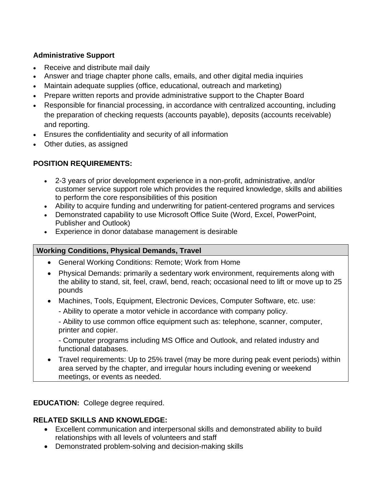# **Administrative Support**

- Receive and distribute mail daily
- Answer and triage chapter phone calls, emails, and other digital media inquiries
- Maintain adequate supplies (office, educational, outreach and marketing)
- Prepare written reports and provide administrative support to the Chapter Board
- Responsible for financial processing, in accordance with centralized accounting, including the preparation of checking requests (accounts payable), deposits (accounts receivable) and reporting.
- Ensures the confidentiality and security of all information
- Other duties, as assigned

# **POSITION REQUIREMENTS:**

- 2-3 years of prior development experience in a non-profit, administrative, and/or customer service support role which provides the required knowledge, skills and abilities to perform the core responsibilities of this position
- Ability to acquire funding and underwriting for patient-centered programs and services
- Demonstrated capability to use Microsoft Office Suite (Word, Excel, PowerPoint, Publisher and Outlook)
- Experience in donor database management is desirable

## **Working Conditions, Physical Demands, Travel**

- General Working Conditions: Remote; Work from Home
- Physical Demands: primarily a sedentary work environment, requirements along with the ability to stand, sit, feel, crawl, bend, reach; occasional need to lift or move up to 25 pounds
- Machines, Tools, Equipment, Electronic Devices, Computer Software, etc. use:
	- Ability to operate a motor vehicle in accordance with company policy.

- Ability to use common office equipment such as: telephone, scanner, computer, printer and copier.

- Computer programs including MS Office and Outlook, and related industry and functional databases.

• Travel requirements: Up to 25% travel (may be more during peak event periods) within area served by the chapter, and irregular hours including evening or weekend meetings, or events as needed.

**EDUCATION:** College degree required.

## **RELATED SKILLS AND KNOWLEDGE:**

- Excellent communication and interpersonal skills and demonstrated ability to build relationships with all levels of volunteers and staff
- Demonstrated problem-solving and decision-making skills